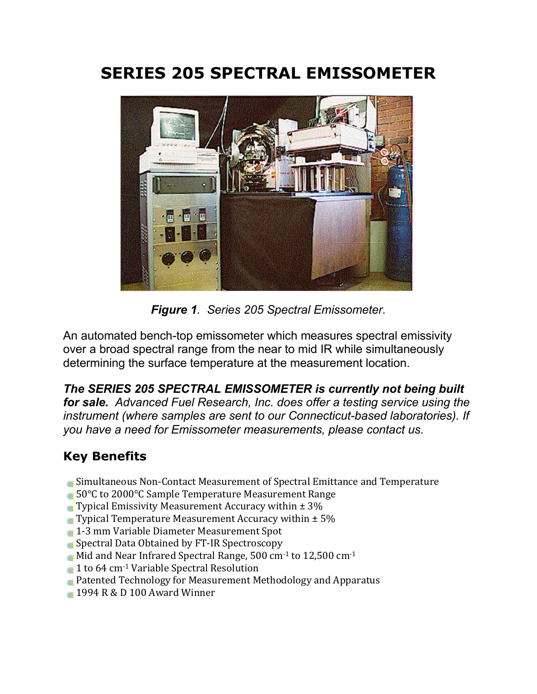# **SERIES 205 SPECTRAL EMISSOMETER**



*Figure 1. Series 205 Spectral Emissometer.*

An automated bench-top emissometer which measures spectral emissivity over a broad spectral range from the near to mid IR while simultaneously determining the surface temperature at the measurement location.

*The SERIES 205 SPECTRAL EMISSOMETER is currently not being built for sale. Advanced Fuel Research, Inc. does offer a testing service using the instrument (where samples are sent to our Connecticut-based laboratories). If you have a need for Emissometer measurements, please contact us.*

# **Key Benefits**

- Simultaneous Non-Contact Measurement of Spectral Emittance and Temperature
- 50°C to 2000°C Sample Temperature Measurement Range
- **Typical Emissivity Measurement Accuracy within**  $\pm 3\%$
- **Typical Temperature Measurement Accuracy within**  $\pm$  **5%**
- 1-3 mm Variable Diameter Measurement Spot
- **Spectral Data Obtained by FT-IR Spectroscopy**
- Mid and Near Infrared Spectral Range, 500 cm<sup>-1</sup> to 12,500 cm<sup>-1</sup>
- 1 to 64 cm<sup>-1</sup> Variable Spectral Resolution
- **Patented Technology for Measurement Methodology and Apparatus**
- 1994 R & D 100 Award Winner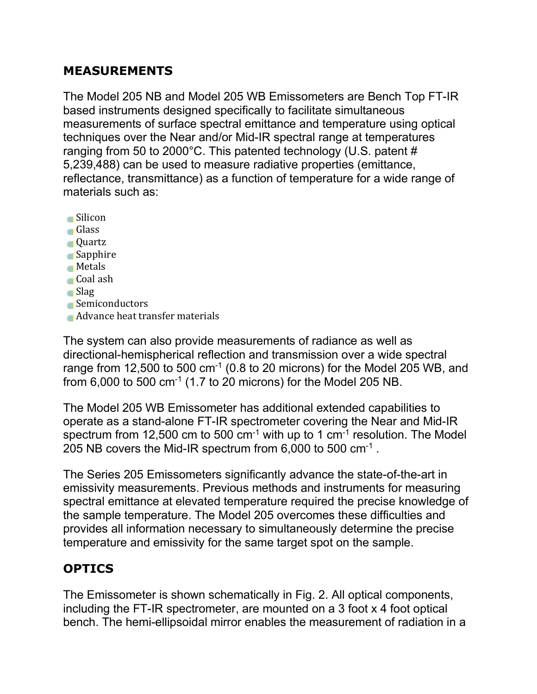### **MEASUREMENTS**

The Model 205 NB and Model 205 WB Emissometers are Bench Top FT-IR based instruments designed specifically to facilitate simultaneous measurements of surface spectral emittance and temperature using optical techniques over the Near and/or Mid-IR spectral range at temperatures ranging from 50 to 2000°C. This patented technology (U.S. patent # 5,239,488) can be used to measure radiative properties (emittance, reflectance, transmittance) as a function of temperature for a wide range of materials such as:

Silicon Glass Quartz **Sapphire Metals** Coal ash Slag Semiconductors **Advance heat transfer materials** 

The system can also provide measurements of radiance as well as directional-hemispherical reflection and transmission over a wide spectral range from 12,500 to 500  $cm^{-1}$  (0.8 to 20 microns) for the Model 205 WB, and from  $6,000$  to 500 cm<sup>-1</sup> (1.7 to 20 microns) for the Model 205 NB.

The Model 205 WB Emissometer has additional extended capabilities to operate as a stand-alone FT-IR spectrometer covering the Near and Mid-IR spectrum from 12,500 cm to 500 cm<sup>-1</sup> with up to 1 cm<sup>-1</sup> resolution. The Model 205 NB covers the Mid-IR spectrum from 6,000 to 500 cm-1 .

The Series 205 Emissometers significantly advance the state-of-the-art in emissivity measurements. Previous methods and instruments for measuring spectral emittance at elevated temperature required the precise knowledge of the sample temperature. The Model 205 overcomes these difficulties and provides all information necessary to simultaneously determine the precise temperature and emissivity for the same target spot on the sample.

# **OPTICS**

The Emissometer is shown schematically in Fig. 2. All optical components, including the FT-IR spectrometer, are mounted on a 3 foot x 4 foot optical bench. The hemi-ellipsoidal mirror enables the measurement of radiation in a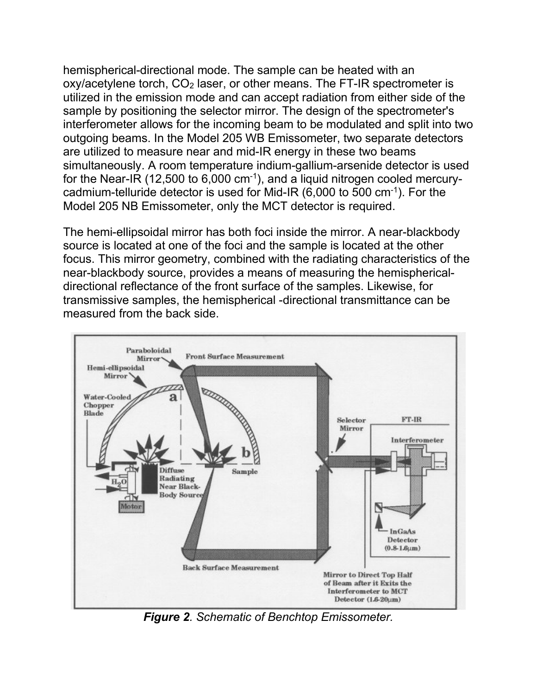hemispherical-directional mode. The sample can be heated with an  $oxy/acetylene$  torch,  $CO<sub>2</sub>$  laser, or other means. The FT-IR spectrometer is utilized in the emission mode and can accept radiation from either side of the sample by positioning the selector mirror. The design of the spectrometer's interferometer allows for the incoming beam to be modulated and split into two outgoing beams. In the Model 205 WB Emissometer, two separate detectors are utilized to measure near and mid-IR energy in these two beams simultaneously. A room temperature indium-gallium-arsenide detector is used for the Near-IR (12,500 to 6,000 cm-1), and a liquid nitrogen cooled mercurycadmium-telluride detector is used for Mid-IR  $(6,000 \text{ to } 500 \text{ cm}^{-1})$ . For the Model 205 NB Emissometer, only the MCT detector is required.

The hemi-ellipsoidal mirror has both foci inside the mirror. A near-blackbody source is located at one of the foci and the sample is located at the other focus. This mirror geometry, combined with the radiating characteristics of the near-blackbody source, provides a means of measuring the hemisphericaldirectional reflectance of the front surface of the samples. Likewise, for transmissive samples, the hemispherical -directional transmittance can be measured from the back side.



*Figure 2. Schematic of Benchtop Emissometer.*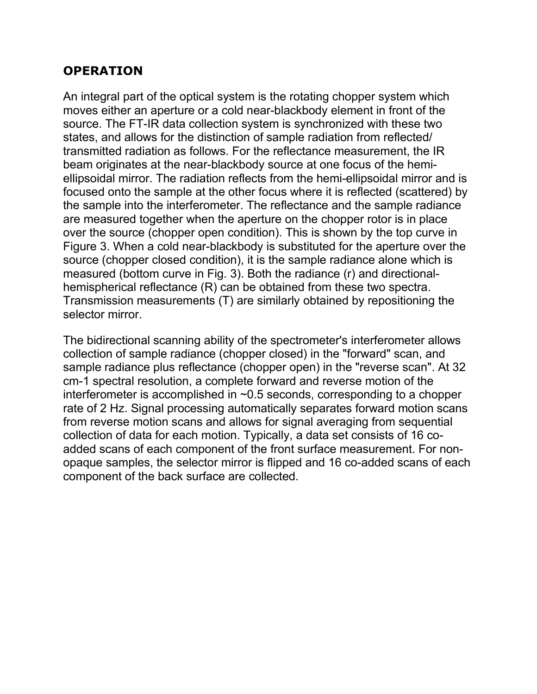#### **OPERATION**

An integral part of the optical system is the rotating chopper system which moves either an aperture or a cold near-blackbody element in front of the source. The FT-IR data collection system is synchronized with these two states, and allows for the distinction of sample radiation from reflected/ transmitted radiation as follows. For the reflectance measurement, the IR beam originates at the near-blackbody source at one focus of the hemiellipsoidal mirror. The radiation reflects from the hemi-ellipsoidal mirror and is focused onto the sample at the other focus where it is reflected (scattered) by the sample into the interferometer. The reflectance and the sample radiance are measured together when the aperture on the chopper rotor is in place over the source (chopper open condition). This is shown by the top curve in Figure 3. When a cold near-blackbody is substituted for the aperture over the source (chopper closed condition), it is the sample radiance alone which is measured (bottom curve in Fig. 3). Both the radiance (r) and directionalhemispherical reflectance (R) can be obtained from these two spectra. Transmission measurements (T) are similarly obtained by repositioning the selector mirror.

The bidirectional scanning ability of the spectrometer's interferometer allows collection of sample radiance (chopper closed) in the "forward" scan, and sample radiance plus reflectance (chopper open) in the "reverse scan". At 32 cm-1 spectral resolution, a complete forward and reverse motion of the interferometer is accomplished in ~0.5 seconds, corresponding to a chopper rate of 2 Hz. Signal processing automatically separates forward motion scans from reverse motion scans and allows for signal averaging from sequential collection of data for each motion. Typically, a data set consists of 16 coadded scans of each component of the front surface measurement. For nonopaque samples, the selector mirror is flipped and 16 co-added scans of each component of the back surface are collected.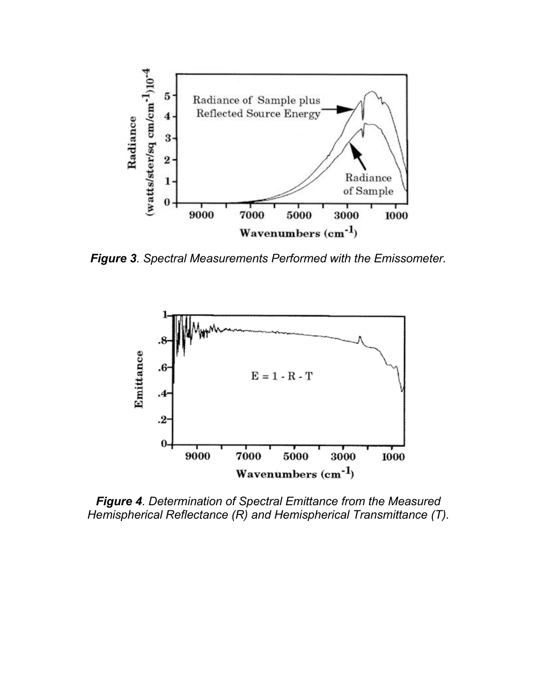

*Figure 3. Spectral Measurements Performed with the Emissometer.*



*Figure 4. Determination of Spectral Emittance from the Measured Hemispherical Reflectance (R) and Hemispherical Transmittance (T).*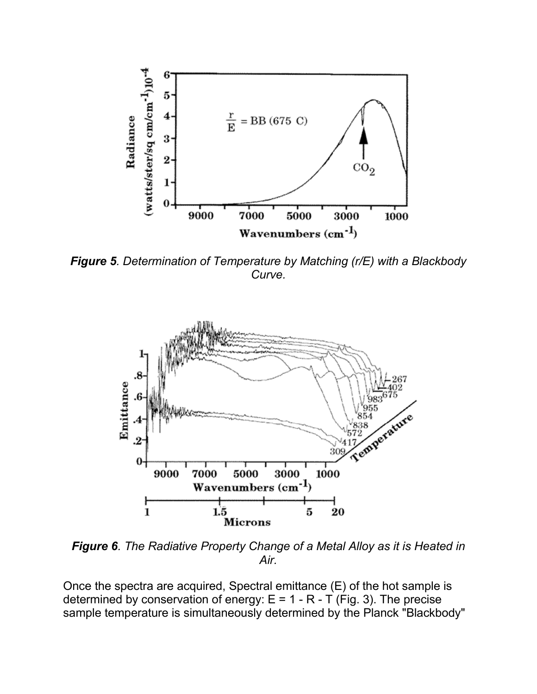

*Figure 5. Determination of Temperature by Matching (r/E) with a Blackbody Curve.*



*Figure 6. The Radiative Property Change of a Metal Alloy as it is Heated in Air.*

Once the spectra are acquired, Spectral emittance (E) of the hot sample is determined by conservation of energy:  $E = 1 - R - T$  (Fig. 3). The precise sample temperature is simultaneously determined by the Planck "Blackbody"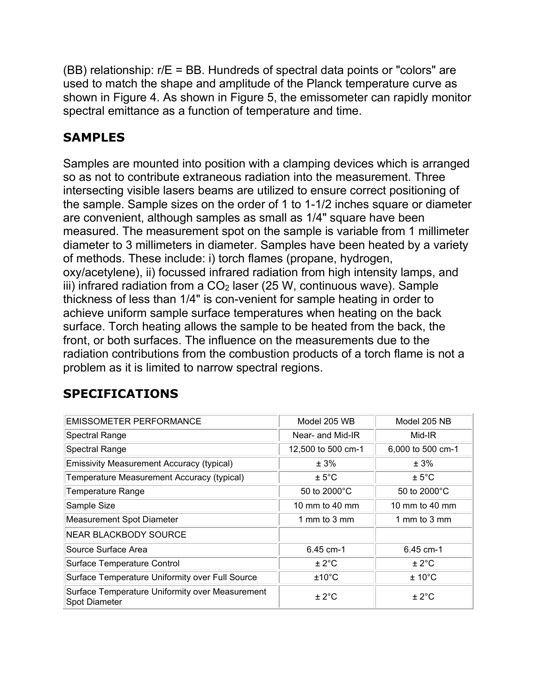(BB) relationship: r/E = BB. Hundreds of spectral data points or "colors" are used to match the shape and amplitude of the Planck temperature curve as shown in Figure 4. As shown in Figure 5, the emissometer can rapidly monitor spectral emittance as a function of temperature and time.

### **SAMPLES**

Samples are mounted into position with a clamping devices which is arranged so as not to contribute extraneous radiation into the measurement. Three intersecting visible lasers beams are utilized to ensure correct positioning of the sample. Sample sizes on the order of 1 to 1-1/2 inches square or diameter are convenient, although samples as small as 1/4" square have been measured. The measurement spot on the sample is variable from 1 millimeter diameter to 3 millimeters in diameter. Samples have been heated by a variety of methods. These include: i) torch flames (propane, hydrogen, oxy/acetylene), ii) focussed infrared radiation from high intensity lamps, and iii) infrared radiation from a  $CO<sub>2</sub>$  laser (25 W, continuous wave). Sample thickness of less than 1/4" is con-venient for sample heating in order to achieve uniform sample surface temperatures when heating on the back surface. Torch heating allows the sample to be heated from the back, the front, or both surfaces. The influence on the measurements due to the radiation contributions from the combustion products of a torch flame is not a problem as it is limited to narrow spectral regions.

## **SPECIFICATIONS**

| <b>EMISSOMETER PERFORMANCE</b>                                   | Model 205 WB           | Model 205 NB      |
|------------------------------------------------------------------|------------------------|-------------------|
| Spectral Range                                                   | Near- and Mid-IR       | Mid-IR            |
| Spectral Range                                                   | 12,500 to 500 cm-1     | 6,000 to 500 cm-1 |
| Emissivity Measurement Accuracy (typical)                        | ± 3%                   | ± 3%              |
| Temperature Measurement Accuracy (typical)                       | $± 5^{\circ}$ C        | $± 5^{\circ}$ C   |
| <b>Temperature Range</b>                                         | 50 to $2000^{\circ}$ C | 50 to 2000°C      |
| Sample Size                                                      | 10 mm to 40 mm         | 10 mm to 40 mm    |
| <b>Measurement Spot Diameter</b>                                 | 1 mm to 3 mm           | 1 mm to 3 mm      |
| NEAR BLACKBODY SOURCE                                            |                        |                   |
| Source Surface Area                                              | 6.45 cm-1              | 6.45 cm-1         |
| Surface Temperature Control                                      | ± 2°C                  | ± 2°C             |
| Surface Temperature Uniformity over Full Source                  | ±10°C                  | $± 10^{\circ}$ C  |
| Surface Temperature Uniformity over Measurement<br>Spot Diameter | ± 2°C                  | ± 2°C             |